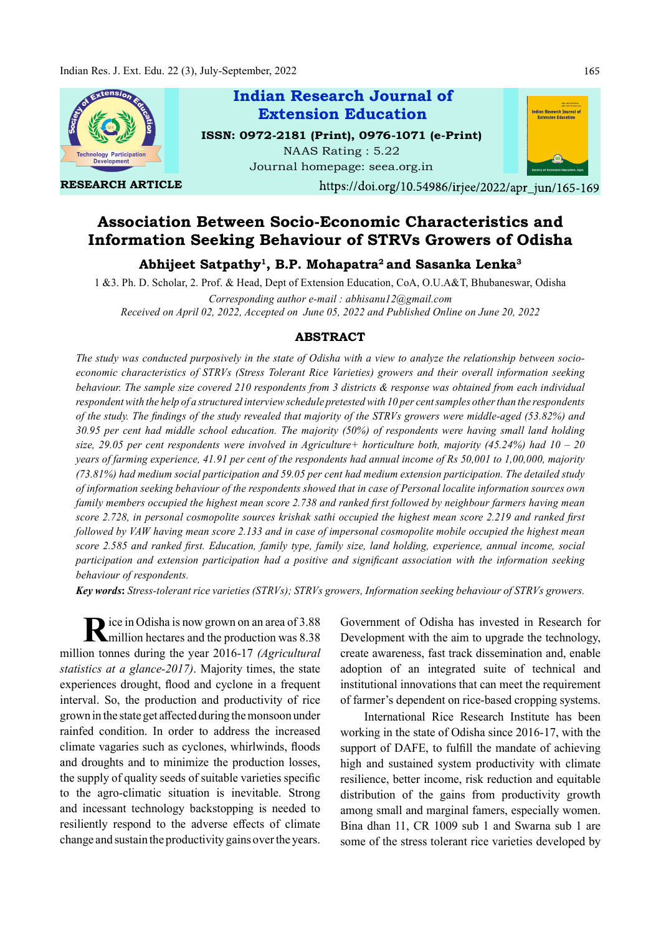

# Association Between Socio-Economic Characteristics and Information Seeking Behaviour of STRVs Growers of Odisha

Abhijeet Satpathy<sup>1</sup>, B.P. Mohapatra<sup>2</sup> and Sasanka Lenka $^3$ 

1 &3. Ph. D. Scholar, 2. Prof. & Head, Dept of Extension Education, CoA, O.U.A&T, Bhubaneswar, Odisha Corresponding author e-mail : abhisanu12@gmail.com

Received on April 02, 2022, Accepted on June 05, 2022 and Published Online on June 20, 2022

## ABSTRACT

The study was conducted purposively in the state of Odisha with a view to analyze the relationship between socioeconomic characteristics of STRVs (Stress Tolerant Rice Varieties) growers and their overall information seeking behaviour. The sample size covered 210 respondents from 3 districts & response was obtained from each individual respondent with the help of a structured interview schedule pretested with 10 per cent samples other than the respondents of the study. The findings of the study revealed that majority of the STRVs growers were middle-aged  $(53.82\%)$  and 30.95 per cent had middle school education. The majority (50%) of respondents were having small land holding size, 29.05 per cent respondents were involved in Agriculture+ horticulture both, majority (45.24%) had  $10 - 20$ years of farming experience, 41.91 per cent of the respondents had annual income of Rs 50,001 to 1,00,000, majority (73.81%) had medium social participation and 59.05 per cent had medium extension participation. The detailed study of information seeking behaviour of the respondents showed that in case of Personal localite information sources own family members occupied the highest mean score 2.738 and ranked first followed by neighbour farmers having mean score 2.728, in personal cosmopolite sources krishak sathi occupied the highest mean score 2.219 and ranked first followed by VAW having mean score 2.133 and in case of impersonal cosmopolite mobile occupied the highest mean score 2.585 and ranked first. Education, family type, family size, land holding, experience, annual income, social participation and extension participation had a positive and significant association with the information seeking behaviour of respondents.

Key words: Stress-tolerant rice varieties (STRVs); STRVs growers, Information seeking behaviour of STRVs growers.

Rice in Odisha is now grown on an area of 3.88 Government of million hectares and the production was 8.38 Development million hectares and the production was 8.38 Development v million tonnes during the year 2016-17 (Agricultural statistics at a glance-2017). Majority times, the state experiences drought, flood and cyclone in a frequent interval. So, the production and productivity of rice grown in the state get aff ected during the monsoon under rainfed condition. In order to address the increased climate vagaries such as cyclones, whirlwinds, floods and droughts and to minimize the production losses, the supply of quality seeds of suitable varieties specific to the agro-climatic situation is inevitable. Strong and incessant technology backstopping is needed to resiliently respond to the adverse effects of climate change and sustain the productivity gains over the years.

Government of Odisha has invested in Research for Development with the aim to upgrade the technology, create awareness, fast track dissemination and, enable adoption of an integrated suite of technical and institutional innovations that can meet the requirement of farmer's dependent on rice-based cropping systems.

International Rice Research Institute has been working in the state of Odisha since 2016-17, with the support of DAFE, to fulfill the mandate of achieving high and sustained system productivity with climate resilience, better income, risk reduction and equitable distribution of the gains from productivity growth among small and marginal famers, especially women. Bina dhan 11, CR 1009 sub 1 and Swarna sub 1 are some of the stress tolerant rice varieties developed by

165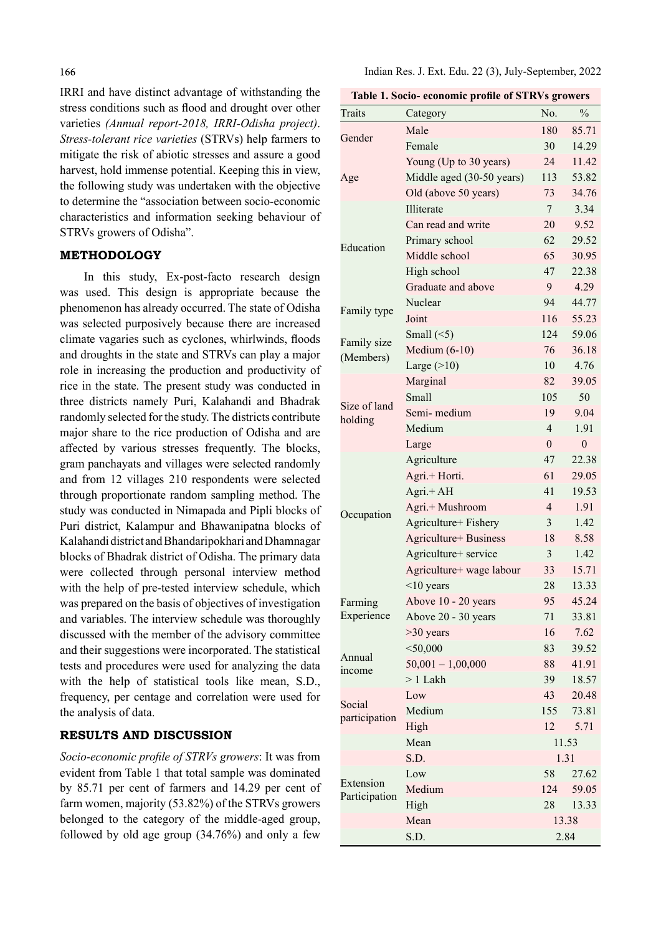IRRI and have distinct advantage of withstanding the stress conditions such as flood and drought over other varieties (Annual report-2018, IRRI-Odisha project). Stress-tolerant rice varieties (STRVs) help farmers to mitigate the risk of abiotic stresses and assure a good harvest, hold immense potential. Keeping this in view, the following study was undertaken with the objective to determine the "association between socio-economic characteristics and information seeking behaviour of STRVs growers of Odisha".

## METHODOLOGY

In this study, Ex-post-facto research design was used. This design is appropriate because the phenomenon has already occurred. The state of Odisha was selected purposively because there are increased climate vagaries such as cyclones, whirlwinds, floods and droughts in the state and STRVs can play a major role in increasing the production and productivity of rice in the state. The present study was conducted in three districts namely Puri, Kalahandi and Bhadrak randomly selected for the study. The districts contribute major share to the rice production of Odisha and are aff ected by various stresses frequently. The blocks, gram panchayats and villages were selected randomly and from 12 villages 210 respondents were selected through proportionate random sampling method. The study was conducted in Nimapada and Pipli blocks of Puri district, Kalampur and Bhawanipatna blocks of Kalahandi district and Bhandaripokhari and Dhamnagar blocks of Bhadrak district of Odisha. The primary data were collected through personal interview method with the help of pre-tested interview schedule, which was prepared on the basis of objectives of investigation and variables. The interview schedule was thoroughly discussed with the member of the advisory committee and their suggestions were incorporated. The statistical tests and procedures were used for analyzing the data with the help of statistical tools like mean, S.D., frequency, per centage and correlation were used for the analysis of data.

## RESULTS AND DISCUSSION

Socio-economic profile of STRVs growers: It was from evident from Table 1 that total sample was dominated by 85.71 per cent of farmers and 14.29 per cent of farm women, majority (53.82%) of the STRVs growers belonged to the category of the middle-aged group, followed by old age group (34.76%) and only a few

| Table 1. Socio- economic profile of STRVs growers |  |  |  |
|---------------------------------------------------|--|--|--|
|---------------------------------------------------|--|--|--|

| <b>Traits</b>            | Category                  | No.            | $\frac{0}{0}$ |
|--------------------------|---------------------------|----------------|---------------|
|                          | Male                      | 180            | 85.71         |
| Gender                   | Female                    | 30             | 14.29         |
|                          | Young (Up to 30 years)    | 24             | 11.42         |
| Age                      | Middle aged (30-50 years) | 113            | 53.82         |
|                          | Old (above 50 years)      | 73             | 34.76         |
|                          | Illiterate                | $\tau$         | 3.34          |
|                          | Can read and write        | 20             | 9.52          |
| Education                | Primary school            | 62             | 29.52         |
|                          | Middle school             | 65             | 30.95         |
|                          | High school               | 47             | 22.38         |
|                          | Graduate and above        | 9              | 4.29          |
| Family type              | Nuclear                   | 94             | 44.77         |
|                          | Joint                     | 116            | 55.23         |
|                          | Small $(\leq 5)$          | 124            | 59.06         |
| Family size<br>(Members) | Medium $(6-10)$           | 76             | 36.18         |
|                          | Large $(>10)$             | 10             | 4.76          |
|                          | Marginal                  | 82             | 39.05         |
|                          | Small                     | 105            | 50            |
| Size of land             | Semi-medium               | 19             | 9.04          |
| holding                  | Medium                    | $\overline{4}$ | 1.91          |
|                          | Large                     | $\theta$       | $\mathbf{0}$  |
|                          | Agriculture               | 47             | 22.38         |
|                          | Agri.+ Horti.             | 61             | 29.05         |
|                          | Agri.+ AH                 | 41             | 19.53         |
|                          | Agri.+ Mushroom           | $\overline{4}$ | 1.91          |
| Occupation               | Agriculture+ Fishery      | 3              | 1.42          |
|                          | Agriculture+ Business     | 18             | 8.58          |
|                          | Agriculture+ service      | 3              | 1.42          |
|                          | Agriculture+ wage labour  | 33             | 15.71         |
|                          | $<$ 10 years              | 28             | 13.33         |
| Farming                  | Above 10 - 20 years       | 95             | 45.24         |
| Experience               | Above 20 - 30 years       | 71             | 33.81         |
|                          | $>30$ years               | 16             | 7.62          |
|                          | $<$ 50,000                | 83             | 39.52         |
| Annual                   | $50,001 - 1,00,000$       | 88             | 41.91         |
| income                   | $> 1$ Lakh                | 39             | 18.57         |
|                          | Low                       | 43             | 20.48         |
| Social                   | Medium                    | 155            | 73.81         |
| participation            | High                      | 12             | 5.71          |
|                          | Mean                      |                | 11.53         |
|                          | S.D.                      |                | 1.31          |
|                          | Low                       | 58             | 27.62         |
| Extension                | Medium                    | 124            | 59.05         |
| Participation            | High                      | 28             | 13.33         |
|                          | Mean                      |                | 13.38         |
|                          | S.D.                      |                | 2.84          |
|                          |                           |                |               |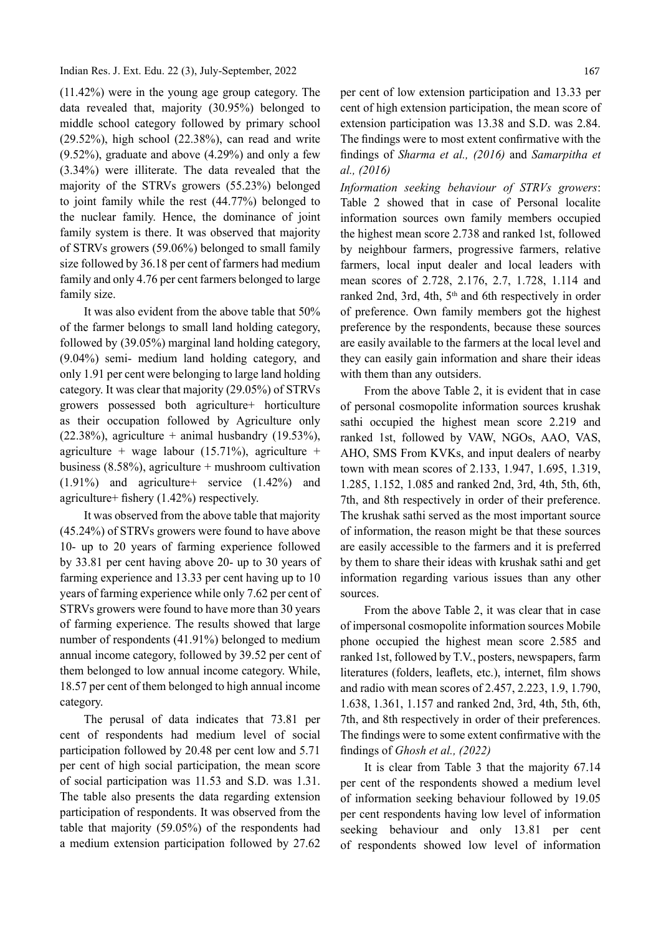### Indian Res. J. Ext. Edu. 22 (3), July-September, 2022

(11.42%) were in the young age group category. The data revealed that, majority (30.95%) belonged to middle school category followed by primary school (29.52%), high school (22.38%), can read and write (9.52%), graduate and above (4.29%) and only a few (3.34%) were illiterate. The data revealed that the majority of the STRVs growers (55.23%) belonged to joint family while the rest (44.77%) belonged to the nuclear family. Hence, the dominance of joint family system is there. It was observed that majority of STRVs growers (59.06%) belonged to small family size followed by 36.18 per cent of farmers had medium family and only 4.76 per cent farmers belonged to large family size.

It was also evident from the above table that 50% of the farmer belongs to small land holding category, followed by (39.05%) marginal land holding category, (9.04%) semi- medium land holding category, and only 1.91 per cent were belonging to large land holding category. It was clear that majority (29.05%) of STRVs growers possessed both agriculture+ horticulture as their occupation followed by Agriculture only  $(22.38\%)$ , agriculture + animal husbandry  $(19.53\%)$ , agriculture + wage labour  $(15.71\%)$ , agriculture + business (8.58%), agriculture + mushroom cultivation (1.91%) and agriculture+ service (1.42%) and agriculture+ fishery  $(1.42\%)$  respectively.

It was observed from the above table that majority (45.24%) of STRVs growers were found to have above 10- up to 20 years of farming experience followed by 33.81 per cent having above 20- up to 30 years of farming experience and 13.33 per cent having up to 10 years of farming experience while only 7.62 per cent of STRVs growers were found to have more than 30 years of farming experience. The results showed that large number of respondents (41.91%) belonged to medium annual income category, followed by 39.52 per cent of them belonged to low annual income category. While, 18.57 per cent of them belonged to high annual income category.

The perusal of data indicates that 73.81 per cent of respondents had medium level of social participation followed by 20.48 per cent low and 5.71 per cent of high social participation, the mean score of social participation was 11.53 and S.D. was 1.31. The table also presents the data regarding extension participation of respondents. It was observed from the table that majority (59.05%) of the respondents had a medium extension participation followed by 27.62

per cent of low extension participation and 13.33 per cent of high extension participation, the mean score of extension participation was 13.38 and S.D. was 2.84. The findings were to most extent confirmative with the findings of Sharma et al.,  $(2016)$  and Samarpitha et al., (2016)

Information seeking behaviour of STRVs growers: Table 2 showed that in case of Personal localite information sources own family members occupied the highest mean score 2. 738 and ranked 1st, followed by neighbour farmers, progressive farmers, relative farmers, local input dealer and local leaders with mean scores of 2.728, 2.176, 2.7, 1.728, 1.114 and ranked 2nd, 3rd, 4th, 5<sup>th</sup> and 6th respectively in order of preference. Own family members got the highest preference by the respondents, because these sources are easily available to the farmers at the local level and they can easily gain information and share their ideas with them than any outsiders.

From the above Table 2, it is evident that in case of personal cosmopolite information sources krushak sathi occupied the highest mean score 2.219 and ranked 1st, followed by VAW, NGOs, AAO, VAS, AHO, SMS From KVKs, and input dealers of nearby town with mean scores of 2.133, 1.947, 1.695, 1.319, 1.285, 1.152, 1.085 and ranked 2nd, 3rd, 4th, 5th, 6th, 7th, and 8th respectively in order of their preference. The krushak sathi served as the most important source of information, the reason might be that these sources are easily accessible to the farmers and it is preferred by them to share their ideas with krushak sathi and get information regarding various issues than any other sources.

From the above Table 2, it was clear that in case of impersonal cosmopolite information sources Mobile phone occupied the highest mean score 2.585 and ranked 1st, followed by T.V., posters, newspapers, farm literatures (folders, leaflets, etc.), internet, film shows and radio with mean scores of 2.457, 2.223, 1.9, 1.790, 1.638, 1.361, 1.157 and ranked 2nd, 3rd, 4th, 5th, 6th, 7th, and 8th respectively in order of their preferences. The findings were to some extent confirmative with the findings of *Ghosh et al.*,  $(2022)$ 

It is clear from Table 3 that the majority 67.14 per cent of the respondents showed a medium level of information seeking behaviour followed by 19.05 per cent respondents having low level of information seeking behaviour and only 13.81 per cent of respondents showed low level of information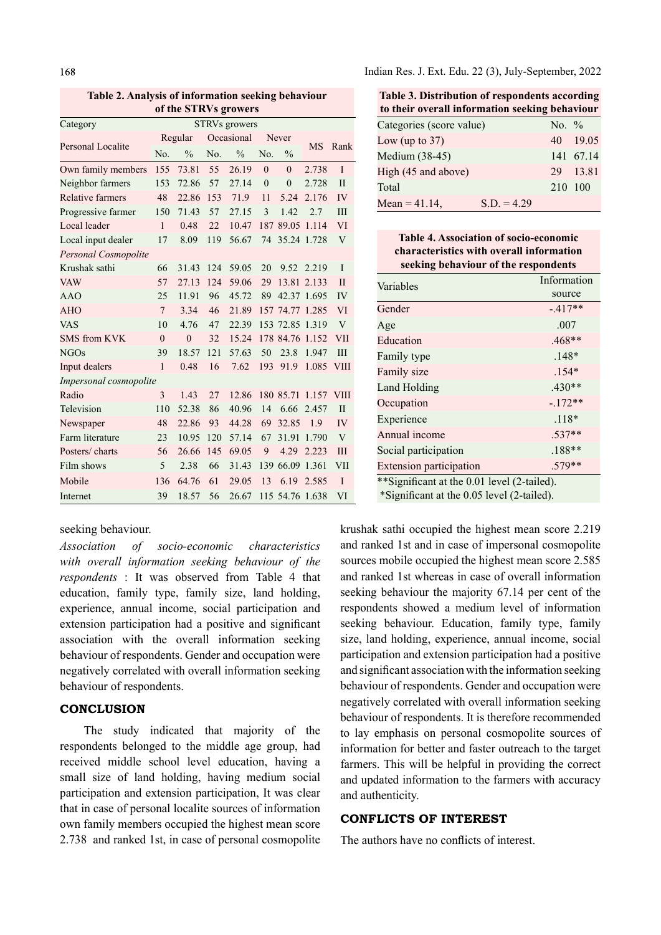Table 2. Analysis of information seeking behaviour of the STRVs growers

|                         |                      |               | $\sim$     |               |          |                 |             |                |
|-------------------------|----------------------|---------------|------------|---------------|----------|-----------------|-------------|----------------|
| Category                | <b>STRVs</b> growers |               |            |               |          |                 |             |                |
|                         | Regular              |               | Occasional |               | Never    |                 |             |                |
| Personal Localite       | No.                  | $\frac{0}{0}$ | No.        | $\frac{0}{0}$ | No.      | $\frac{0}{0}$   | <b>MS</b>   | Rank           |
| Own family members      | 155                  | 73.81         | 55         | 26.19         | $\theta$ | $\overline{0}$  | 2.738       | $\mathbf I$    |
| Neighbor farmers        | 153                  | 72.86         | 57         | 27.14         | $\theta$ | $\theta$        | 2.728       | $\mathbf{H}$   |
| <b>Relative farmers</b> | 48                   | 22.86         | 153        | 71.9          | 11       | 5.24            | 2.176       | IV             |
| Progressive farmer      | 150                  | 71.43         | 57         | 27.15         | 3        | 1.42            | 2.7         | III            |
| Local leader            | $\mathbf{1}$         | 0.48          | 22         | 10.47         |          | 187 89.05       | 1.114       | VI             |
| Local input dealer      | 17                   | 8.09          | 119        | 56.67         | 74       | 35.24 1.728     |             | $\overline{V}$ |
| Personal Cosmopolite    |                      |               |            |               |          |                 |             |                |
| Krushak sathi           | 66                   | 31.43         | 124        | 59.05         | 20       |                 | 9.52 2.219  | $\mathbf{I}$   |
| <b>VAW</b>              | 57                   | 27.13         | 124        | 59.06         | 29       | 13.81           | 2.133       | $\mathbf{I}$   |
| AAO                     | 25                   | 11.91         | 96         | 45.72         | 89       |                 | 42.37 1.695 | IV             |
| <b>AHO</b>              | $\overline{7}$       | 3.34          | 46         | 21.89         |          | 157 74.77 1.285 |             | VI             |
| <b>VAS</b>              | 10                   | 4.76          | 47         | 22.39         |          | 153 72.85 1.319 |             | $\overline{V}$ |
| <b>SMS</b> from KVK     | $\theta$             | $\theta$      | 32         | 15.24         |          | 178 84.76       | 1.152       | <b>VII</b>     |
| <b>NGOs</b>             | 39                   | 18.57         | 121        | 57.63         | 50       | 23.8            | 1.947       | III            |
| Input dealers           | $\mathbf{1}$         | 0.48          | 16         | 7.62          | 193      | 91.9            | 1.085       | <b>VIII</b>    |
| Impersonal cosmopolite  |                      |               |            |               |          |                 |             |                |
| Radio                   | 3                    | 1.43          | 27         | 12.86         |          | 180 85.71       | 1.157       | <b>VIII</b>    |
| Television              | 110                  | 52.38         | 86         | 40.96         | 14       | 6.66            | 2.457       | $\mathbf{I}$   |
| Newspaper               | 48                   | 22.86         | 93         | 44.28         | 69       | 32.85           | 1.9         | IV             |
| Farm literature         | 23                   | 10.95         | 120        | 57.14         | 67       | 31.91           | 1.790       | V              |
| Posters/charts          | 56                   | 26.66         | 145        | 69.05         | 9        | 4.29            | 2.223       | III            |
| Film shows              | 5                    | 2.38          | 66         | 31.43         |          | 139 66.09       | 1.361       | VII            |
| Mobile                  | 136                  | 64.76         | 61         | 29.05         | 13       | 6.19            | 2.585       | $\mathbf I$    |
| Internet                | 39                   | 18.57         | 56         | 26.67         |          | 115 54.76 1.638 |             | VI             |

## seeking behaviour.

Association of socio-economic characteristics with overall information seeking behaviour of the respondents : It was observed from Table 4 that education, family type, family size, land holding, experience, annual income, social participation and extension participation had a positive and significant association with the overall information seeking behaviour of respondents. Gender and occupation were negatively correlated with overall information seeking behaviour of respondents.

## **CONCLUSION**

The study indicated that majority of the respondents belonged to the middle age group, had received middle school level education, having a small size of land holding, having medium social participation and extension participation, It was clear that in case of personal localite sources of information own family members occupied the highest mean score 2.738 and ranked 1st, in case of personal cosmopolite Indian Res. J. Ext. Edu. 22 (3), July-September, 2022

Table 3. Distribution of respondents according to their overall information seeking behaviour

| Categories (score value) |                     |
|--------------------------|---------------------|
|                          | 40 19.05            |
|                          | 141 67.14           |
|                          | 29 13.81            |
|                          |                     |
| $S.D. = 4.29$            |                     |
|                          | No. $\%$<br>210 100 |

Table 4. Association of socio-economic characteristics with overall information seeking behaviour of the respondents

| Variables                                    | Information |  |  |  |
|----------------------------------------------|-------------|--|--|--|
|                                              | source      |  |  |  |
| Gender                                       | $-.417**$   |  |  |  |
| Age                                          | .007        |  |  |  |
| Education                                    | .468**      |  |  |  |
| Family type                                  | $.148*$     |  |  |  |
| Family size                                  | $.154*$     |  |  |  |
| Land Holding                                 | $.430**$    |  |  |  |
| Occupation                                   | $-172**$    |  |  |  |
| Experience                                   | $.118*$     |  |  |  |
| Annual income                                | $.537**$    |  |  |  |
| Social participation                         | $.188**$    |  |  |  |
| <b>Extension participation</b>               | $.579**$    |  |  |  |
| ** Significant at the 0.01 level (2-tailed). |             |  |  |  |
| *Significant at the 0.05 level (2-tailed).   |             |  |  |  |

krushak sathi occupied the highest mean score 2.219 and ranked 1st and in case of impersonal cosmopolite sources mobile occupied the highest mean score 2.585 and ranked 1st whereas in case of overall information seeking behaviour the majority 67.14 per cent of the respondents showed a medium level of information seeking behaviour. Education, family type, family size, land holding, experience, annual income, social participation and extension participation had a positive and significant association with the information seeking behaviour of respondents. Gender and occupation were negatively correlated with overall information seeking behaviour of respondents. It is therefore recommended to lay emphasis on personal cosmopolite sources of information for better and faster outreach to the target farmers. This will be helpful in providing the correct and updated information to the farmers with accuracy and authenticity.

## CONFLICTS OF INTEREST

The authors have no conflicts of interest.